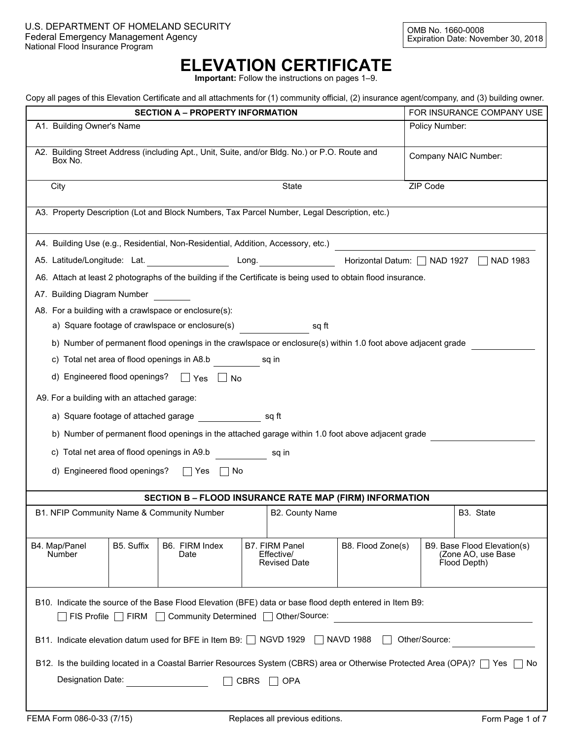## **ELEVATION CERTIFICATE**

**Important:** Follow the instructions on pages 1–9.

|  |  |  |  |  | Copy all pages of this Elevation Certificate and all attachments for (1) community official, (2) insurance agent/company, and (3) building owner. |  |  |  |
|--|--|--|--|--|---------------------------------------------------------------------------------------------------------------------------------------------------|--|--|--|
|  |  |  |  |  |                                                                                                                                                   |  |  |  |
|  |  |  |  |  |                                                                                                                                                   |  |  |  |
|  |  |  |  |  |                                                                                                                                                   |  |  |  |

| $\sim$ , an page of the Elevatori columnate and an attachments for (1) community chicken, (2) moderness agont company, and (0) panamgrommor.                                      | <b>SECTION A – PROPERTY INFORMATION</b>                                                      |             |                                                     |                              |                | FOR INSURANCE COMPANY USE                                         |  |  |
|-----------------------------------------------------------------------------------------------------------------------------------------------------------------------------------|----------------------------------------------------------------------------------------------|-------------|-----------------------------------------------------|------------------------------|----------------|-------------------------------------------------------------------|--|--|
| A1. Building Owner's Name                                                                                                                                                         |                                                                                              |             |                                                     |                              | Policy Number: |                                                                   |  |  |
| A2. Building Street Address (including Apt., Unit, Suite, and/or Bldg. No.) or P.O. Route and<br>Company NAIC Number:<br>Box No.                                                  |                                                                                              |             |                                                     |                              |                |                                                                   |  |  |
|                                                                                                                                                                                   |                                                                                              |             |                                                     |                              |                |                                                                   |  |  |
| ZIP Code<br>State<br>City<br>$\blacktriangledown$                                                                                                                                 |                                                                                              |             |                                                     |                              |                |                                                                   |  |  |
|                                                                                                                                                                                   | A3. Property Description (Lot and Block Numbers, Tax Parcel Number, Legal Description, etc.) |             |                                                     |                              |                |                                                                   |  |  |
| A4. Building Use (e.g., Residential, Non-Residential, Addition, Accessory, etc.)                                                                                                  |                                                                                              |             |                                                     |                              |                |                                                                   |  |  |
| A5. Latitude/Longitude: Lat. __________________                                                                                                                                   |                                                                                              |             | Long.                                               | Horizontal Datum:   NAD 1927 |                | <b>NAD 1983</b>                                                   |  |  |
| A6. Attach at least 2 photographs of the building if the Certificate is being used to obtain flood insurance.                                                                     |                                                                                              |             |                                                     |                              |                |                                                                   |  |  |
| A7. Building Diagram Number                                                                                                                                                       |                                                                                              |             |                                                     |                              |                |                                                                   |  |  |
| A8. For a building with a crawlspace or enclosure(s):                                                                                                                             |                                                                                              |             |                                                     |                              |                |                                                                   |  |  |
| a) Square footage of crawlspace or enclosure(s)                                                                                                                                   |                                                                                              |             | sq ft                                               |                              |                |                                                                   |  |  |
| b) Number of permanent flood openings in the crawlspace or enclosure(s) within 1.0 foot above adjacent grade                                                                      |                                                                                              |             |                                                     |                              |                |                                                                   |  |  |
| c) Total net area of flood openings in A8.b                                                                                                                                       |                                                                                              |             | sq in                                               |                              |                |                                                                   |  |  |
| d) Engineered flood openings? □ Yes □ No                                                                                                                                          |                                                                                              |             |                                                     |                              |                |                                                                   |  |  |
| A9. For a building with an attached garage:                                                                                                                                       |                                                                                              |             |                                                     |                              |                |                                                                   |  |  |
| a) Square footage of attached garage square is sq ft                                                                                                                              |                                                                                              |             |                                                     |                              |                |                                                                   |  |  |
| b) Number of permanent flood openings in the attached garage within 1.0 foot above adjacent grade                                                                                 |                                                                                              |             |                                                     |                              |                |                                                                   |  |  |
| c) Total net area of flood openings in A9.b                                                                                                                                       |                                                                                              |             | sq in                                               |                              |                |                                                                   |  |  |
| d) Engineered flood openings? $\Box$ Yes $\Box$ No                                                                                                                                |                                                                                              |             |                                                     |                              |                |                                                                   |  |  |
|                                                                                                                                                                                   |                                                                                              |             |                                                     |                              |                |                                                                   |  |  |
|                                                                                                                                                                                   | SECTION B - FLOOD INSURANCE RATE MAP (FIRM) INFORMATION                                      |             |                                                     |                              |                |                                                                   |  |  |
| B1. NFIP Community Name & Community Number                                                                                                                                        |                                                                                              |             | B2. County Name                                     |                              |                | B3. State                                                         |  |  |
|                                                                                                                                                                                   |                                                                                              |             |                                                     |                              |                | $\blacktriangledown$                                              |  |  |
| B4. Map/Panel<br>B5. Suffix<br>Number                                                                                                                                             | B6. FIRM Index<br>Date                                                                       |             | B7. FIRM Panel<br>Effective/<br><b>Revised Date</b> | B8. Flood Zone(s)            |                | B9. Base Flood Elevation(s)<br>(Zone AO, use Base<br>Flood Depth) |  |  |
|                                                                                                                                                                                   |                                                                                              |             |                                                     |                              |                |                                                                   |  |  |
| B10. Indicate the source of the Base Flood Elevation (BFE) data or base flood depth entered in Item B9:<br>Other/Source:<br>$FIS$ Profile $\Box$ FIRM $\Box$ Community Determined |                                                                                              |             |                                                     |                              |                |                                                                   |  |  |
| B11. Indicate elevation datum used for BFE in Item B9: □ NGVD 1929  <br>Other/Source:<br><b>NAVD 1988</b>                                                                         |                                                                                              |             |                                                     |                              |                |                                                                   |  |  |
| B12. Is the building located in a Coastal Barrier Resources System (CBRS) area or Otherwise Protected Area (OPA)?   Yes   No                                                      |                                                                                              |             |                                                     |                              |                |                                                                   |  |  |
| Designation Date:                                                                                                                                                                 |                                                                                              | <b>CBRS</b> | <b>OPA</b>                                          |                              |                |                                                                   |  |  |
|                                                                                                                                                                                   |                                                                                              |             |                                                     |                              |                |                                                                   |  |  |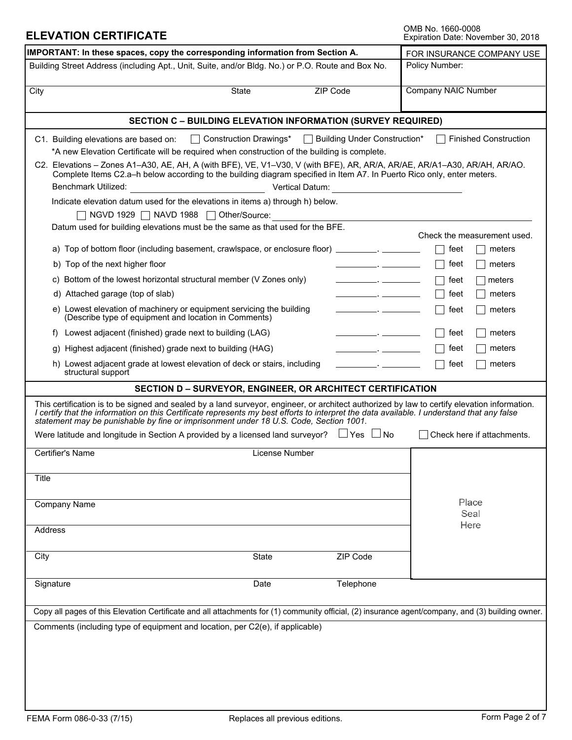OMB No. 1660-0008<br>Expiration Date: November 30, 2018

| IMPORTANT: In these spaces, copy the corresponding information from Section A.                                                                                                                                                                                                                                                                                                                                                                                                                                                                                                                                                                                                                                                                                                                                                                                                                                                                                                                                                                                                                   | FOR INSURANCE COMPANY USE        |                                                                                                                                                                                                                                                                                                                                                                                                                                                                          |                                                                                                                                                                         |  |  |  |
|--------------------------------------------------------------------------------------------------------------------------------------------------------------------------------------------------------------------------------------------------------------------------------------------------------------------------------------------------------------------------------------------------------------------------------------------------------------------------------------------------------------------------------------------------------------------------------------------------------------------------------------------------------------------------------------------------------------------------------------------------------------------------------------------------------------------------------------------------------------------------------------------------------------------------------------------------------------------------------------------------------------------------------------------------------------------------------------------------|----------------------------------|--------------------------------------------------------------------------------------------------------------------------------------------------------------------------------------------------------------------------------------------------------------------------------------------------------------------------------------------------------------------------------------------------------------------------------------------------------------------------|-------------------------------------------------------------------------------------------------------------------------------------------------------------------------|--|--|--|
| Building Street Address (including Apt., Unit, Suite, and/or Bldg. No.) or P.O. Route and Box No.                                                                                                                                                                                                                                                                                                                                                                                                                                                                                                                                                                                                                                                                                                                                                                                                                                                                                                                                                                                                | Policy Number:                   |                                                                                                                                                                                                                                                                                                                                                                                                                                                                          |                                                                                                                                                                         |  |  |  |
| City<br><b>State</b>                                                                                                                                                                                                                                                                                                                                                                                                                                                                                                                                                                                                                                                                                                                                                                                                                                                                                                                                                                                                                                                                             | ZIP Code<br>$\blacktriangledown$ |                                                                                                                                                                                                                                                                                                                                                                                                                                                                          | <b>Company NAIC Number</b>                                                                                                                                              |  |  |  |
| <b>SECTION C - BUILDING ELEVATION INFORMATION (SURVEY REQUIRED)</b>                                                                                                                                                                                                                                                                                                                                                                                                                                                                                                                                                                                                                                                                                                                                                                                                                                                                                                                                                                                                                              |                                  |                                                                                                                                                                                                                                                                                                                                                                                                                                                                          |                                                                                                                                                                         |  |  |  |
| □ Construction Drawings*<br>C1. Building elevations are based on:<br>*A new Elevation Certificate will be required when construction of the building is complete.<br>C2. Elevations - Zones A1-A30, AE, AH, A (with BFE), VE, V1-V30, V (with BFE), AR, AR/A, AR/AE, AR/A1-A30, AR/AH, AR/AO.<br>Complete Items C2.a-h below according to the building diagram specified in Item A7. In Puerto Rico only, enter meters.<br><b>Benchmark Utilized:</b><br>Indicate elevation datum used for the elevations in items a) through h) below.<br>NGVD 1929   NAVD 1988   Other/Source:<br>Datum used for building elevations must be the same as that used for the BFE.<br>a) Top of bottom floor (including basement, crawlspace, or enclosure floor)<br>b) Top of the next higher floor<br>c) Bottom of the lowest horizontal structural member (V Zones only)<br>d) Attached garage (top of slab)<br>e) Lowest elevation of machinery or equipment servicing the building<br>(Describe type of equipment and location in Comments)<br>Lowest adjacent (finished) grade next to building (LAG)<br>f) | $\vert \ \ \vert$                | <b>Building Under Construction*</b><br>Vertical Datum: <b>William Strategie and The Contract Contract Contract Contract Contract Contract Contract Contract Contract Contract Contract Contract Contract Contract Contract Contract Contract Contract Contract Contract</b><br><u> 1989 - Jan James Barnett, politik a</u><br>$\overline{\phantom{a}}$ . The contract of $\overline{\phantom{a}}$<br>$\overline{\phantom{a}}$ . The contract of $\overline{\phantom{a}}$ | <b>Finished Construction</b><br>Check the measurement used.<br>feet<br>meters<br>feet<br>meters<br>feet<br>meters<br>feet<br>meters<br>meters<br>feet<br>feet<br>meters |  |  |  |
| Highest adjacent (finished) grade next to building (HAG)<br>h) Lowest adjacent grade at lowest elevation of deck or stairs, including                                                                                                                                                                                                                                                                                                                                                                                                                                                                                                                                                                                                                                                                                                                                                                                                                                                                                                                                                            |                                  |                                                                                                                                                                                                                                                                                                                                                                                                                                                                          | feet<br>meters<br>feet<br>meters                                                                                                                                        |  |  |  |
| structural support                                                                                                                                                                                                                                                                                                                                                                                                                                                                                                                                                                                                                                                                                                                                                                                                                                                                                                                                                                                                                                                                               |                                  |                                                                                                                                                                                                                                                                                                                                                                                                                                                                          |                                                                                                                                                                         |  |  |  |
| SECTION D - SURVEYOR, ENGINEER, OR ARCHITECT CERTIFICATION<br>This certification is to be signed and sealed by a land surveyor, engineer, or architect authorized by law to certify elevation information.<br>I certify that the information on this Certificate represents my best efforts to interpret the data available. I understand that any false<br>statement may be punishable by fine or imprisonment under 18 U.S. Code, Section 1001.<br>Were latitude and longitude in Section A provided by a licensed land surveyor? $\Box$ Yes $\Box$<br>Certifier's Name                                                                                                                                                                                                                                                                                                                                                                                                                                                                                                                        | License Number                   | $\Box$ No                                                                                                                                                                                                                                                                                                                                                                                                                                                                | Check here if attachments.                                                                                                                                              |  |  |  |
|                                                                                                                                                                                                                                                                                                                                                                                                                                                                                                                                                                                                                                                                                                                                                                                                                                                                                                                                                                                                                                                                                                  |                                  |                                                                                                                                                                                                                                                                                                                                                                                                                                                                          |                                                                                                                                                                         |  |  |  |
| Title<br>Company Name<br>Address                                                                                                                                                                                                                                                                                                                                                                                                                                                                                                                                                                                                                                                                                                                                                                                                                                                                                                                                                                                                                                                                 |                                  |                                                                                                                                                                                                                                                                                                                                                                                                                                                                          | Place<br>Seal<br>Here                                                                                                                                                   |  |  |  |
| City                                                                                                                                                                                                                                                                                                                                                                                                                                                                                                                                                                                                                                                                                                                                                                                                                                                                                                                                                                                                                                                                                             | State<br>$\blacktriangleright$   | ZIP Code                                                                                                                                                                                                                                                                                                                                                                                                                                                                 |                                                                                                                                                                         |  |  |  |
| Signature                                                                                                                                                                                                                                                                                                                                                                                                                                                                                                                                                                                                                                                                                                                                                                                                                                                                                                                                                                                                                                                                                        | Date                             | Telephone                                                                                                                                                                                                                                                                                                                                                                                                                                                                |                                                                                                                                                                         |  |  |  |
| Copy all pages of this Elevation Certificate and all attachments for (1) community official, (2) insurance agent/company, and (3) building owner.                                                                                                                                                                                                                                                                                                                                                                                                                                                                                                                                                                                                                                                                                                                                                                                                                                                                                                                                                |                                  |                                                                                                                                                                                                                                                                                                                                                                                                                                                                          |                                                                                                                                                                         |  |  |  |
| Comments (including type of equipment and location, per C2(e), if applicable)                                                                                                                                                                                                                                                                                                                                                                                                                                                                                                                                                                                                                                                                                                                                                                                                                                                                                                                                                                                                                    |                                  |                                                                                                                                                                                                                                                                                                                                                                                                                                                                          |                                                                                                                                                                         |  |  |  |

**ELEVATION CERTIFICATE**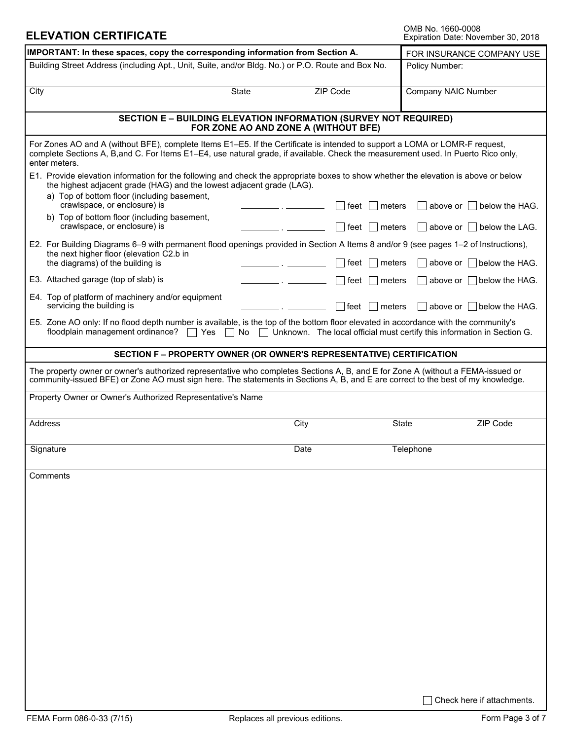OMB No. 1660-0008<br>Expiration Date: November 30, 2018

| IMPORTANT: In these spaces, copy the corresponding information from Section A.                                                                                                                                                                                                    | FOR INSURANCE COMPANY USE      |                                  |                                                                                                                |  |  |  |  |
|-----------------------------------------------------------------------------------------------------------------------------------------------------------------------------------------------------------------------------------------------------------------------------------|--------------------------------|----------------------------------|----------------------------------------------------------------------------------------------------------------|--|--|--|--|
| Building Street Address (including Apt., Unit, Suite, and/or Bldg. No.) or P.O. Route and Box No.                                                                                                                                                                                 | Policy Number:                 |                                  |                                                                                                                |  |  |  |  |
| City                                                                                                                                                                                                                                                                              | State<br>$\blacktriangledown$  | ZIP Code                         | <b>Company NAIC Number</b>                                                                                     |  |  |  |  |
| <b>SECTION E - BUILDING ELEVATION INFORMATION (SURVEY NOT REQUIRED)</b><br>FOR ZONE AO AND ZONE A (WITHOUT BFE)                                                                                                                                                                   |                                |                                  |                                                                                                                |  |  |  |  |
| For Zones AO and A (without BFE), complete Items E1–E5. If the Certificate is intended to support a LOMA or LOMR-F request,<br>complete Sections A, B, and C. For Items E1-E4, use natural grade, if available. Check the measurement used. In Puerto Rico only,<br>enter meters. |                                |                                  |                                                                                                                |  |  |  |  |
| E1. Provide elevation information for the following and check the appropriate boxes to show whether the elevation is above or below<br>the highest adjacent grade (HAG) and the lowest adjacent grade (LAG).<br>a) Top of bottom floor (including basement,                       |                                |                                  |                                                                                                                |  |  |  |  |
| crawlspace, or enclosure) is<br>b) Top of bottom floor (including basement,<br>crawlspace, or enclosure) is                                                                                                                                                                       |                                | feet<br>meters<br>feet<br>meters | above or<br>below the HAG.<br>above or $\vert \ \vert$ below the LAG.                                          |  |  |  |  |
| E2. For Building Diagrams 6–9 with permanent flood openings provided in Section A Items 8 and/or 9 (see pages 1–2 of Instructions),<br>the next higher floor (elevation C2.b in                                                                                                   |                                |                                  |                                                                                                                |  |  |  |  |
| the diagrams) of the building is                                                                                                                                                                                                                                                  |                                | feet<br>meters                   | above or $\vert$   below the HAG.                                                                              |  |  |  |  |
| E3. Attached garage (top of slab) is<br>E4. Top of platform of machinery and/or equipment<br>servicing the building is                                                                                                                                                            |                                | feet<br>meters                   | below the HAG.<br>above or                                                                                     |  |  |  |  |
| E5. Zone AO only: If no flood depth number is available, is the top of the bottom floor elevated in accordance with the community's<br>floodplain management ordinance?<br>Yes<br>$\mathbf{L}$                                                                                    | No<br>$\overline{\phantom{a}}$ | feet<br>meters                   | above or $\parallel$ below the HAG.<br>Unknown. The local official must certify this information in Section G. |  |  |  |  |
| SECTION F - PROPERTY OWNER (OR OWNER'S REPRESENTATIVE) CERTIFICATION                                                                                                                                                                                                              |                                |                                  |                                                                                                                |  |  |  |  |
| The property owner or owner's authorized representative who completes Sections A, B, and E for Zone A (without a FEMA-issued or<br>community-issued BFE) or Zone AO must sign here. The statements in Sections A, B, and E are correct to the best of my knowledge.               |                                |                                  |                                                                                                                |  |  |  |  |
| Property Owner or Owner's Authorized Representative's Name                                                                                                                                                                                                                        |                                |                                  |                                                                                                                |  |  |  |  |
| <b>Address</b>                                                                                                                                                                                                                                                                    | City                           | <b>State</b>                     | ZIP Code<br>$\blacktriangledown$                                                                               |  |  |  |  |
| Signature                                                                                                                                                                                                                                                                         | Date                           |                                  | Telephone                                                                                                      |  |  |  |  |
| Comments                                                                                                                                                                                                                                                                          |                                |                                  |                                                                                                                |  |  |  |  |
|                                                                                                                                                                                                                                                                                   |                                |                                  |                                                                                                                |  |  |  |  |
|                                                                                                                                                                                                                                                                                   |                                |                                  |                                                                                                                |  |  |  |  |
|                                                                                                                                                                                                                                                                                   |                                |                                  |                                                                                                                |  |  |  |  |
|                                                                                                                                                                                                                                                                                   |                                |                                  |                                                                                                                |  |  |  |  |
|                                                                                                                                                                                                                                                                                   |                                |                                  |                                                                                                                |  |  |  |  |
|                                                                                                                                                                                                                                                                                   |                                |                                  |                                                                                                                |  |  |  |  |
|                                                                                                                                                                                                                                                                                   |                                |                                  |                                                                                                                |  |  |  |  |
|                                                                                                                                                                                                                                                                                   |                                |                                  | Check here if attachments.                                                                                     |  |  |  |  |

**ELEVATION CERTIFICATE**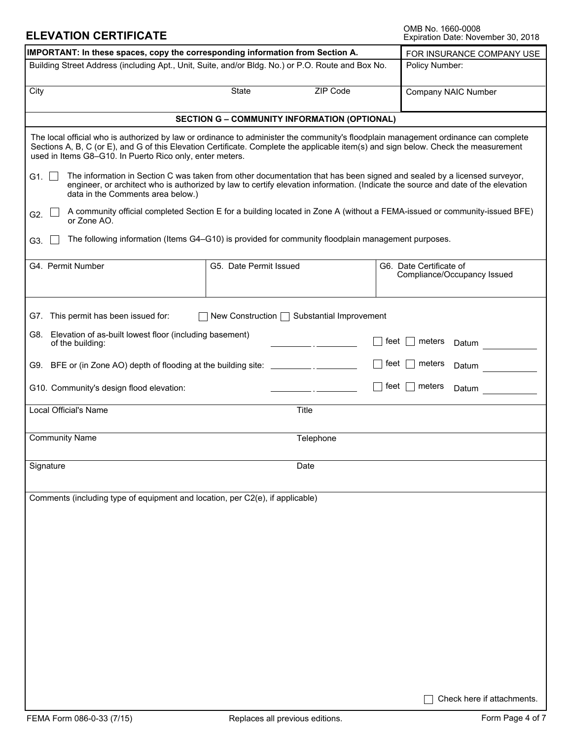OMB No. 1660-0008<br>Expiration Date: November 30, 2018

| IMPORTANT: In these spaces, copy the corresponding information from Section A.                                                                                                                                                                                                                                                         | FOR INSURANCE COMPANY USE                                                                                                                                                                                                                                   |                                                        |  |  |  |  |  |  |
|----------------------------------------------------------------------------------------------------------------------------------------------------------------------------------------------------------------------------------------------------------------------------------------------------------------------------------------|-------------------------------------------------------------------------------------------------------------------------------------------------------------------------------------------------------------------------------------------------------------|--------------------------------------------------------|--|--|--|--|--|--|
| Building Street Address (including Apt., Unit, Suite, and/or Bldg. No.) or P.O. Route and Box No.                                                                                                                                                                                                                                      | Policy Number:                                                                                                                                                                                                                                              |                                                        |  |  |  |  |  |  |
| City                                                                                                                                                                                                                                                                                                                                   | <b>Company NAIC Number</b>                                                                                                                                                                                                                                  |                                                        |  |  |  |  |  |  |
|                                                                                                                                                                                                                                                                                                                                        | <b>SECTION G - COMMUNITY INFORMATION (OPTIONAL)</b>                                                                                                                                                                                                         |                                                        |  |  |  |  |  |  |
| The local official who is authorized by law or ordinance to administer the community's floodplain management ordinance can complete<br>Sections A, B, C (or E), and G of this Elevation Certificate. Complete the applicable item(s) and sign below. Check the measurement<br>used in Items G8-G10. In Puerto Rico only, enter meters. |                                                                                                                                                                                                                                                             |                                                        |  |  |  |  |  |  |
| G1. $\square$<br>data in the Comments area below.)                                                                                                                                                                                                                                                                                     | The information in Section C was taken from other documentation that has been signed and sealed by a licensed surveyor,<br>engineer, or architect who is authorized by law to certify elevation information. (Indicate the source and date of the elevation |                                                        |  |  |  |  |  |  |
| G2.<br>or Zone AO.                                                                                                                                                                                                                                                                                                                     | A community official completed Section E for a building located in Zone A (without a FEMA-issued or community-issued BFE)                                                                                                                                   |                                                        |  |  |  |  |  |  |
| G3.                                                                                                                                                                                                                                                                                                                                    | The following information (Items G4-G10) is provided for community floodplain management purposes.                                                                                                                                                          |                                                        |  |  |  |  |  |  |
| G4. Permit Number                                                                                                                                                                                                                                                                                                                      | G5. Date Permit Issued                                                                                                                                                                                                                                      | G6. Date Certificate of<br>Compliance/Occupancy Issued |  |  |  |  |  |  |
| G7. This permit has been issued for:                                                                                                                                                                                                                                                                                                   | New Construction □ Substantial Improvement                                                                                                                                                                                                                  |                                                        |  |  |  |  |  |  |
| G8. Elevation of as-built lowest floor (including basement)<br>of the building:                                                                                                                                                                                                                                                        |                                                                                                                                                                                                                                                             | feet  <br>meters<br>Datum                              |  |  |  |  |  |  |
| G9. BFE or (in Zone AO) depth of flooding at the building site: _________________                                                                                                                                                                                                                                                      |                                                                                                                                                                                                                                                             | feet  <br>meters<br>Datum                              |  |  |  |  |  |  |
| G10. Community's design flood elevation:                                                                                                                                                                                                                                                                                               |                                                                                                                                                                                                                                                             | feet $ $<br>meters<br>Datum                            |  |  |  |  |  |  |
| <b>Local Official's Name</b>                                                                                                                                                                                                                                                                                                           | Title                                                                                                                                                                                                                                                       |                                                        |  |  |  |  |  |  |
| <b>Community Name</b>                                                                                                                                                                                                                                                                                                                  | Telephone                                                                                                                                                                                                                                                   |                                                        |  |  |  |  |  |  |
| Signature                                                                                                                                                                                                                                                                                                                              | Date                                                                                                                                                                                                                                                        |                                                        |  |  |  |  |  |  |
| Comments (including type of equipment and location, per C2(e), if applicable)                                                                                                                                                                                                                                                          |                                                                                                                                                                                                                                                             |                                                        |  |  |  |  |  |  |
|                                                                                                                                                                                                                                                                                                                                        |                                                                                                                                                                                                                                                             |                                                        |  |  |  |  |  |  |
|                                                                                                                                                                                                                                                                                                                                        |                                                                                                                                                                                                                                                             |                                                        |  |  |  |  |  |  |
|                                                                                                                                                                                                                                                                                                                                        |                                                                                                                                                                                                                                                             |                                                        |  |  |  |  |  |  |
|                                                                                                                                                                                                                                                                                                                                        |                                                                                                                                                                                                                                                             |                                                        |  |  |  |  |  |  |
|                                                                                                                                                                                                                                                                                                                                        |                                                                                                                                                                                                                                                             |                                                        |  |  |  |  |  |  |
|                                                                                                                                                                                                                                                                                                                                        |                                                                                                                                                                                                                                                             |                                                        |  |  |  |  |  |  |
|                                                                                                                                                                                                                                                                                                                                        |                                                                                                                                                                                                                                                             |                                                        |  |  |  |  |  |  |
|                                                                                                                                                                                                                                                                                                                                        |                                                                                                                                                                                                                                                             | Check here if attachments.                             |  |  |  |  |  |  |

**ELEVATION CERTIFICATE**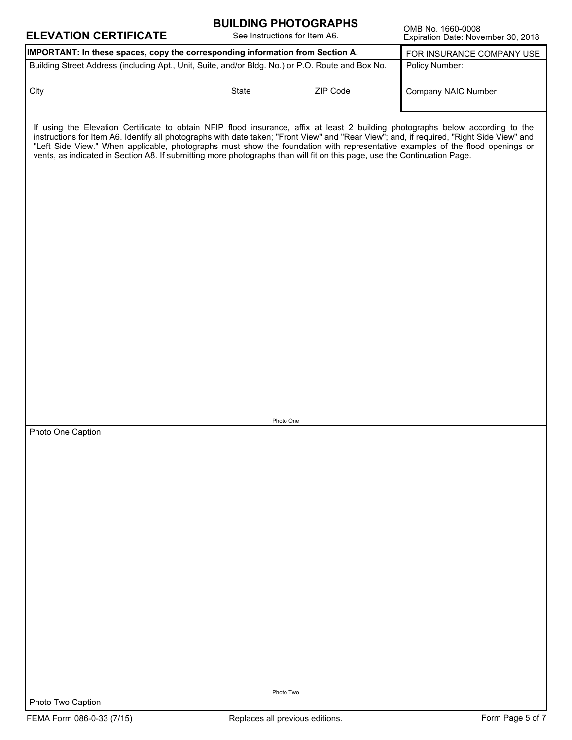| <b>ELEVATION CERTIFICATE</b>                                                                                                                                                                                                                                                                                                                                                                                                                                                                                                              | <b>BUILDING PHOTOGRAPHS</b><br>See Instructions for Item A6. |          | OMB No. 1660-0008<br>Expiration Date: November 30, 2018 |
|-------------------------------------------------------------------------------------------------------------------------------------------------------------------------------------------------------------------------------------------------------------------------------------------------------------------------------------------------------------------------------------------------------------------------------------------------------------------------------------------------------------------------------------------|--------------------------------------------------------------|----------|---------------------------------------------------------|
| IMPORTANT: In these spaces, copy the corresponding information from Section A.                                                                                                                                                                                                                                                                                                                                                                                                                                                            |                                                              |          | FOR INSURANCE COMPANY USE                               |
| Building Street Address (including Apt., Unit, Suite, and/or Bldg. No.) or P.O. Route and Box No.                                                                                                                                                                                                                                                                                                                                                                                                                                         |                                                              |          | Policy Number:                                          |
| City                                                                                                                                                                                                                                                                                                                                                                                                                                                                                                                                      | State<br>$\vert \bullet \vert$                               | ZIP Code | <b>Company NAIC Number</b>                              |
| If using the Elevation Certificate to obtain NFIP flood insurance, affix at least 2 building photographs below according to the<br>instructions for Item A6. Identify all photographs with date taken; "Front View" and "Rear View"; and, if required, "Right Side View" and<br>"Left Side View." When applicable, photographs must show the foundation with representative examples of the flood openings or<br>vents, as indicated in Section A8. If submitting more photographs than will fit on this page, use the Continuation Page. |                                                              |          |                                                         |
|                                                                                                                                                                                                                                                                                                                                                                                                                                                                                                                                           |                                                              |          |                                                         |
|                                                                                                                                                                                                                                                                                                                                                                                                                                                                                                                                           |                                                              |          |                                                         |
|                                                                                                                                                                                                                                                                                                                                                                                                                                                                                                                                           |                                                              |          |                                                         |
|                                                                                                                                                                                                                                                                                                                                                                                                                                                                                                                                           |                                                              |          |                                                         |
|                                                                                                                                                                                                                                                                                                                                                                                                                                                                                                                                           |                                                              |          |                                                         |
|                                                                                                                                                                                                                                                                                                                                                                                                                                                                                                                                           |                                                              |          |                                                         |
|                                                                                                                                                                                                                                                                                                                                                                                                                                                                                                                                           |                                                              |          |                                                         |
|                                                                                                                                                                                                                                                                                                                                                                                                                                                                                                                                           |                                                              |          |                                                         |
| Photo One Caption                                                                                                                                                                                                                                                                                                                                                                                                                                                                                                                         | Photo One                                                    |          |                                                         |
|                                                                                                                                                                                                                                                                                                                                                                                                                                                                                                                                           |                                                              |          |                                                         |
|                                                                                                                                                                                                                                                                                                                                                                                                                                                                                                                                           |                                                              |          |                                                         |
|                                                                                                                                                                                                                                                                                                                                                                                                                                                                                                                                           |                                                              |          |                                                         |
|                                                                                                                                                                                                                                                                                                                                                                                                                                                                                                                                           |                                                              |          |                                                         |
|                                                                                                                                                                                                                                                                                                                                                                                                                                                                                                                                           |                                                              |          |                                                         |
|                                                                                                                                                                                                                                                                                                                                                                                                                                                                                                                                           |                                                              |          |                                                         |
|                                                                                                                                                                                                                                                                                                                                                                                                                                                                                                                                           |                                                              |          |                                                         |
|                                                                                                                                                                                                                                                                                                                                                                                                                                                                                                                                           |                                                              |          |                                                         |
|                                                                                                                                                                                                                                                                                                                                                                                                                                                                                                                                           |                                                              |          |                                                         |
| Photo Two Caption                                                                                                                                                                                                                                                                                                                                                                                                                                                                                                                         | Photo Two                                                    |          |                                                         |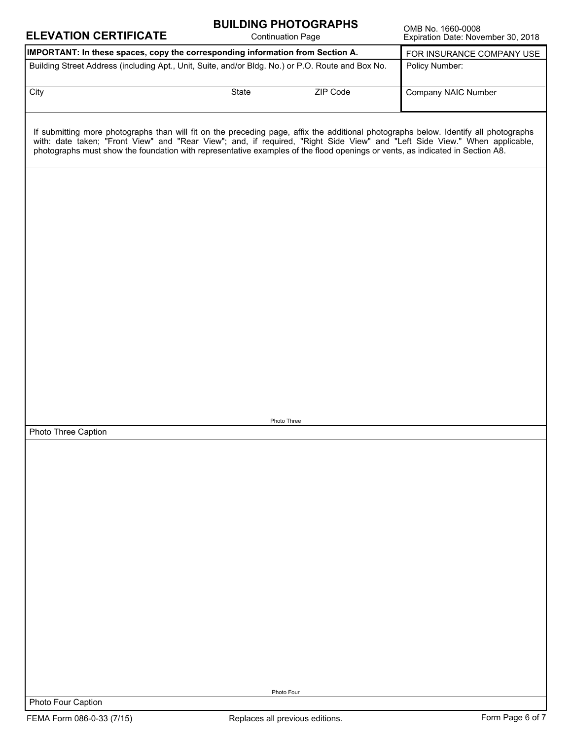| <b>ELEVATION CERTIFICATE</b>                                                                                                                                                                                                                                                                                                                                                                        |       | <b>BUILDING PHOTOGRAPHS</b><br><b>Continuation Page</b> | OMB No. 1660-0008<br>Expiration Date: November 30, 2018 |
|-----------------------------------------------------------------------------------------------------------------------------------------------------------------------------------------------------------------------------------------------------------------------------------------------------------------------------------------------------------------------------------------------------|-------|---------------------------------------------------------|---------------------------------------------------------|
| IMPORTANT: In these spaces, copy the corresponding information from Section A.                                                                                                                                                                                                                                                                                                                      |       |                                                         | FOR INSURANCE COMPANY USE                               |
| Building Street Address (including Apt., Unit, Suite, and/or Bldg. No.) or P.O. Route and Box No.                                                                                                                                                                                                                                                                                                   |       |                                                         | Policy Number:                                          |
| City                                                                                                                                                                                                                                                                                                                                                                                                | State | ZIP Code<br>$\blacktriangleright$                       | <b>Company NAIC Number</b>                              |
| If submitting more photographs than will fit on the preceding page, affix the additional photographs below. Identify all photographs<br>with: date taken; "Front View" and "Rear View"; and, if required, "Right Side View" and "Left Side View." When applicable,<br>photographs must show the foundation with representative examples of the flood openings or vents, as indicated in Section A8. |       |                                                         |                                                         |
|                                                                                                                                                                                                                                                                                                                                                                                                     |       |                                                         |                                                         |
|                                                                                                                                                                                                                                                                                                                                                                                                     |       |                                                         |                                                         |
|                                                                                                                                                                                                                                                                                                                                                                                                     |       |                                                         |                                                         |
|                                                                                                                                                                                                                                                                                                                                                                                                     |       |                                                         |                                                         |
|                                                                                                                                                                                                                                                                                                                                                                                                     |       |                                                         |                                                         |
|                                                                                                                                                                                                                                                                                                                                                                                                     |       |                                                         |                                                         |
|                                                                                                                                                                                                                                                                                                                                                                                                     |       |                                                         |                                                         |
|                                                                                                                                                                                                                                                                                                                                                                                                     |       | Photo Three                                             |                                                         |
| Photo Three Caption                                                                                                                                                                                                                                                                                                                                                                                 |       |                                                         |                                                         |
|                                                                                                                                                                                                                                                                                                                                                                                                     |       |                                                         |                                                         |
|                                                                                                                                                                                                                                                                                                                                                                                                     |       |                                                         |                                                         |
|                                                                                                                                                                                                                                                                                                                                                                                                     |       |                                                         |                                                         |
|                                                                                                                                                                                                                                                                                                                                                                                                     |       |                                                         |                                                         |
|                                                                                                                                                                                                                                                                                                                                                                                                     |       |                                                         |                                                         |
|                                                                                                                                                                                                                                                                                                                                                                                                     |       |                                                         |                                                         |
|                                                                                                                                                                                                                                                                                                                                                                                                     |       |                                                         |                                                         |
|                                                                                                                                                                                                                                                                                                                                                                                                     |       |                                                         |                                                         |
|                                                                                                                                                                                                                                                                                                                                                                                                     |       |                                                         |                                                         |
|                                                                                                                                                                                                                                                                                                                                                                                                     |       |                                                         |                                                         |
|                                                                                                                                                                                                                                                                                                                                                                                                     |       |                                                         |                                                         |
|                                                                                                                                                                                                                                                                                                                                                                                                     |       |                                                         |                                                         |
|                                                                                                                                                                                                                                                                                                                                                                                                     |       |                                                         |                                                         |
|                                                                                                                                                                                                                                                                                                                                                                                                     |       |                                                         |                                                         |
|                                                                                                                                                                                                                                                                                                                                                                                                     |       |                                                         |                                                         |
|                                                                                                                                                                                                                                                                                                                                                                                                     |       |                                                         |                                                         |
|                                                                                                                                                                                                                                                                                                                                                                                                     |       |                                                         |                                                         |
|                                                                                                                                                                                                                                                                                                                                                                                                     |       | Photo Four                                              |                                                         |
| Photo Four Caption                                                                                                                                                                                                                                                                                                                                                                                  |       |                                                         |                                                         |